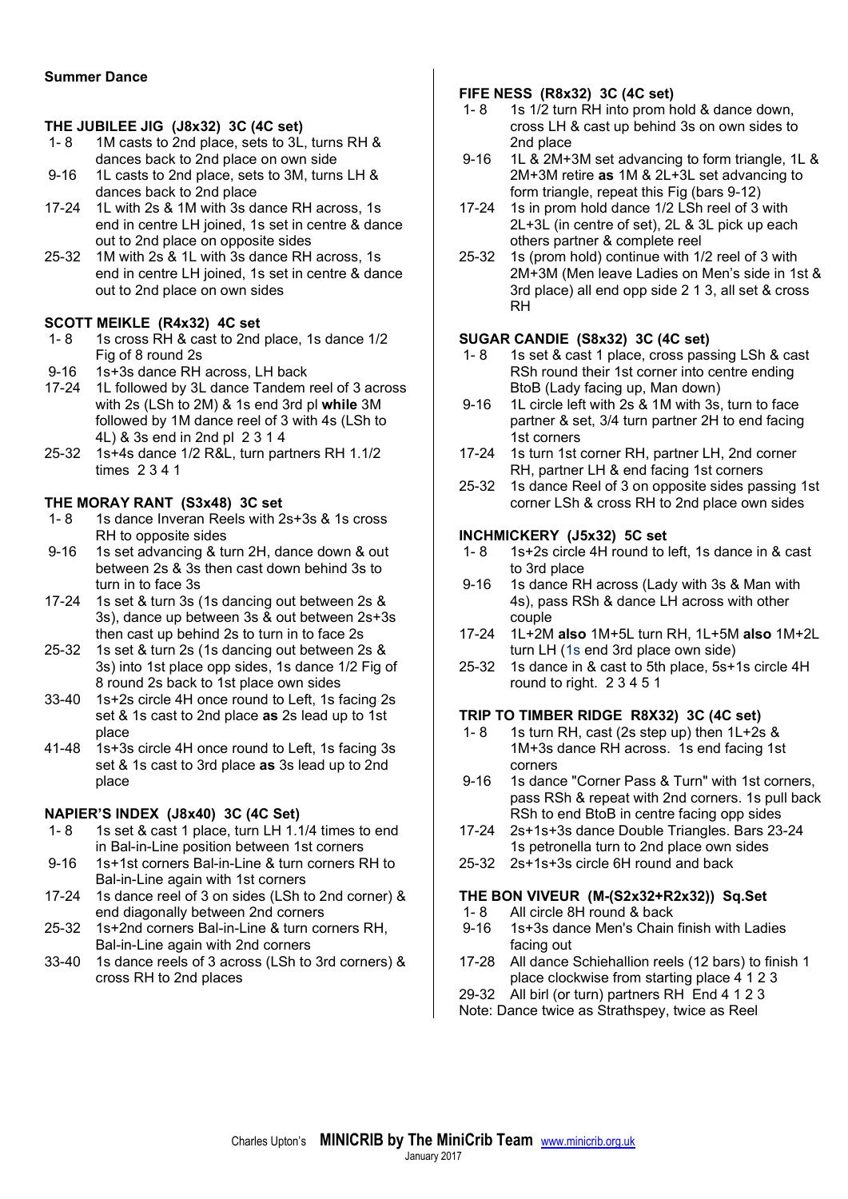### Summer Dance

#### THE JUBILEE JIG (J8x32) 3C (4C set)

- 1- 8 1M casts to 2nd place, sets to 3L, turns RH & dances back to 2nd place on own side
- 9-16 1L casts to 2nd place, sets to 3M, turns LH & dances back to 2nd place
- 17-24 1L with 2s & 1M with 3s dance RH across, 1s end in centre LH joined, 1s set in centre & dance out to 2nd place on opposite sides
- 25-32 1M with 2s & 1L with 3s dance RH across, 1s end in centre LH joined, 1s set in centre & dance out to 2nd place on own sides

#### SCOTT MEIKLE (R4x32) 4C set

- 1- 8 1s cross RH & cast to 2nd place, 1s dance 1/2 Fig of 8 round 2s
- 9-16 1s+3s dance RH across, LH back
- 17-24 1L followed by 3L dance Tandem reel of 3 across with 2s (LSh to 2M) & 1s end 3rd pl while 3M followed by 1M dance reel of 3 with 4s (LSh to 4L) & 3s end in 2nd pl 2 3 1 4
- 25-32 1s+4s dance 1/2 R&L, turn partners RH 1.1/2 times 2 3 4 1

#### THE MORAY RANT (S3x48) 3C set

- 1- 8 1s dance Inveran Reels with 2s+3s & 1s cross RH to opposite sides
- 9-16 1s set advancing & turn 2H, dance down & out between 2s & 3s then cast down behind 3s to turn in to face 3s
- 17-24 1s set & turn 3s (1s dancing out between 2s & 3s), dance up between 3s & out between 2s+3s then cast up behind 2s to turn in to face 2s
- 25-32 1s set & turn 2s (1s dancing out between 2s & 3s) into 1st place opp sides, 1s dance 1/2 Fig of 8 round 2s back to 1st place own sides
- 33-40 1s+2s circle 4H once round to Left, 1s facing 2s set & 1s cast to 2nd place as 2s lead up to 1st place
- 41-48 1s+3s circle 4H once round to Left, 1s facing 3s set & 1s cast to 3rd place as 3s lead up to 2nd place

### NAPIER'S INDEX (J8x40) 3C (4C Set)

- 1- 8 1s set & cast 1 place, turn LH 1.1/4 times to end in Bal-in-Line position between 1st corners
- 9-16 1s+1st corners Bal-in-Line & turn corners RH to Bal-in-Line again with 1st corners
- 17-24 1s dance reel of 3 on sides (LSh to 2nd corner) & end diagonally between 2nd corners
- 25-32 1s+2nd corners Bal-in-Line & turn corners RH, Bal-in-Line again with 2nd corners
- 33-40 1s dance reels of 3 across (LSh to 3rd corners) & cross RH to 2nd places

#### FIFE NESS (R8x32) 3C (4C set)

- 1- 8 1s 1/2 turn RH into prom hold & dance down, cross LH & cast up behind 3s on own sides to 2nd place
- 9-16 1L & 2M+3M set advancing to form triangle, 1L & 2M+3M retire as 1M & 2L+3L set advancing to form triangle, repeat this Fig (bars 9-12)
- 17-24 1s in prom hold dance 1/2 LSh reel of 3 with 2L+3L (in centre of set), 2L & 3L pick up each others partner & complete reel
- 25-32 1s (prom hold) continue with 1/2 reel of 3 with 2M+3M (Men leave Ladies on Men's side in 1st & 3rd place) all end opp side 2 1 3, all set & cross RH

### SUGAR CANDIE (S8x32) 3C (4C set)

- 1- 8 1s set & cast 1 place, cross passing LSh & cast RSh round their 1st corner into centre ending BtoB (Lady facing up, Man down)
- 9-16 1L circle left with 2s & 1M with 3s, turn to face partner & set, 3/4 turn partner 2H to end facing 1st corners
- 17-24 1s turn 1st corner RH, partner LH, 2nd corner RH, partner LH & end facing 1st corners
- 25-32 1s dance Reel of 3 on opposite sides passing 1st corner LSh & cross RH to 2nd place own sides

#### INCHMICKERY (J5x32) 5C set

- 1- 8 1s+2s circle 4H round to left, 1s dance in & cast to 3rd place
- 9-16 1s dance RH across (Lady with 3s & Man with 4s), pass RSh & dance LH across with other couple
- 17-24 1L+2M also 1M+5L turn RH, 1L+5M also 1M+2L turn LH (1s end 3rd place own side)
- 25-32 1s dance in & cast to 5th place, 5s+1s circle 4H round to right. 2 3 4 5 1

### TRIP TO TIMBER RIDGE R8X32) 3C (4C set)

- 1- 8 1s turn RH, cast  $(2s$  step up) then  $1L+2s$  & 1M+3s dance RH across. 1s end facing 1st corners
- 9-16 1s dance "Corner Pass & Turn" with 1st corners, pass RSh & repeat with 2nd corners. 1s pull back RSh to end BtoB in centre facing opp sides
- 17-24 2s+1s+3s dance Double Triangles. Bars 23-24 1s petronella turn to 2nd place own sides
- 25-32 2s+1s+3s circle 6H round and back

#### THE BON VIVEUR (M-(S2x32+R2x32)) Sq.Set

- 1- 8 All circle 8H round & back<br>9-16 1s+3s dance Men's Chain
- 1s+3s dance Men's Chain finish with Ladies facing out
- 17-28 All dance Schiehallion reels (12 bars) to finish 1 place clockwise from starting place 4 1 2 3
- 29-32 All birl (or turn) partners RH End 4 1 2 3

Note: Dance twice as Strathspey, twice as Reel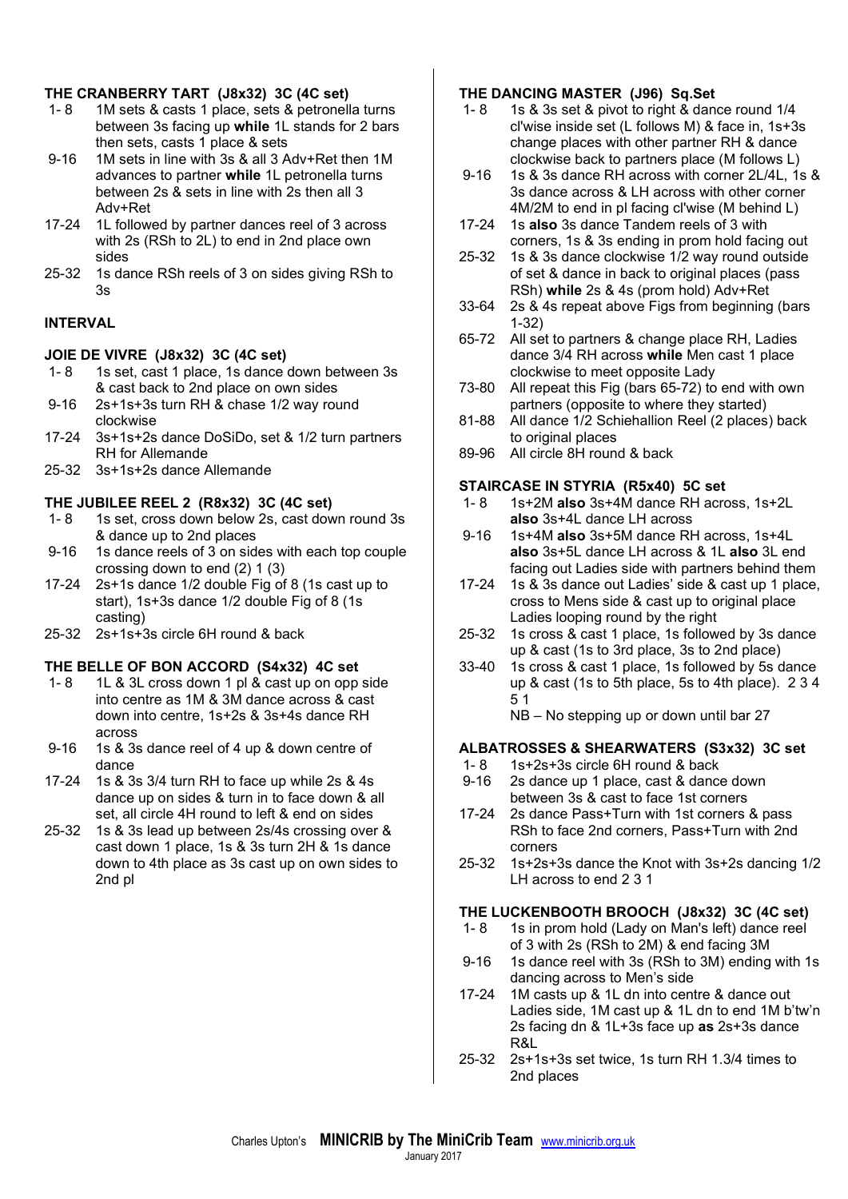## THE CRANBERRY TART (J8x32) 3C (4C set)

- 1- 8 1M sets & casts 1 place, sets & petronella turns between 3s facing up while 1L stands for 2 bars then sets, casts 1 place & sets
- 9-16 1M sets in line with 3s & all 3 Adv+Ret then 1M advances to partner while 1L petronella turns between 2s & sets in line with 2s then all 3 Adv+Ret
- 17-24 1L followed by partner dances reel of 3 across with 2s (RSh to 2L) to end in 2nd place own sides
- 25-32 1s dance RSh reels of 3 on sides giving RSh to 3s

# INTERVAL

### JOIE DE VIVRE (J8x32) 3C (4C set)

- 1- 8 1s set, cast 1 place, 1s dance down between 3s & cast back to 2nd place on own sides
- 9-16 2s+1s+3s turn RH & chase 1/2 way round clockwise
- 17-24 3s+1s+2s dance DoSiDo, set & 1/2 turn partners RH for Allemande
- 25-32 3s+1s+2s dance Allemande

## THE JUBILEE REEL 2 (R8x32) 3C (4C set)

- 1- 8 1s set, cross down below 2s, cast down round 3s & dance up to 2nd places
- 9-16 1s dance reels of 3 on sides with each top couple crossing down to end (2) 1 (3)
- 17-24 2s+1s dance 1/2 double Fig of 8 (1s cast up to start), 1s+3s dance 1/2 double Fig of 8 (1s casting)
- 25-32 2s+1s+3s circle 6H round & back

### THE BELLE OF BON ACCORD (S4x32) 4C set

- 1- 8 1L & 3L cross down 1 pl & cast up on opp side into centre as 1M & 3M dance across & cast down into centre, 1s+2s & 3s+4s dance RH across
- 9-16 1s & 3s dance reel of 4 up & down centre of dance
- 17-24 1s & 3s 3/4 turn RH to face up while 2s & 4s dance up on sides & turn in to face down & all set, all circle 4H round to left & end on sides
- 25-32 1s & 3s lead up between 2s/4s crossing over & cast down 1 place, 1s & 3s turn 2H & 1s dance down to 4th place as 3s cast up on own sides to 2nd pl

### THE DANCING MASTER (J96) Sq.Set

- 1- 8 1s & 3s set & pivot to right & dance round 1/4 cl'wise inside set (L follows M) & face in, 1s+3s change places with other partner RH & dance clockwise back to partners place (M follows L)
- 9-16 1s & 3s dance RH across with corner 2L/4L, 1s & 3s dance across & LH across with other corner 4M/2M to end in pl facing cl'wise (M behind L)
- 17-24 1s also 3s dance Tandem reels of 3 with corners, 1s & 3s ending in prom hold facing out
- 25-32 1s & 3s dance clockwise 1/2 way round outside of set & dance in back to original places (pass RSh) while 2s & 4s (prom hold) Adv+Ret
- 33-64 2s & 4s repeat above Figs from beginning (bars 1-32)
- 65-72 All set to partners & change place RH, Ladies dance 3/4 RH across while Men cast 1 place clockwise to meet opposite Lady
- 73-80 All repeat this Fig (bars 65-72) to end with own partners (opposite to where they started)
- 81-88 All dance 1/2 Schiehallion Reel (2 places) back to original places
- 89-96 All circle 8H round & back

## STAIRCASE IN STYRIA (R5x40) 5C set

- 1-8 1s+2M also 3s+4M dance RH across, 1s+2L also 3s+4L dance LH across
- 9-16 1s+4M also 3s+5M dance RH across, 1s+4L also 3s+5L dance LH across & 1L also 3L end facing out Ladies side with partners behind them
- 17-24 1s & 3s dance out Ladies' side & cast up 1 place, cross to Mens side & cast up to original place Ladies looping round by the right
- 25-32 1s cross & cast 1 place, 1s followed by 3s dance up & cast (1s to 3rd place, 3s to 2nd place)
- 33-40 1s cross & cast 1 place, 1s followed by 5s dance up & cast (1s to 5th place, 5s to 4th place). 2 3 4 5 1
	- NB No stepping up or down until bar 27

# ALBATROSSES & SHEARWATERS (S3x32) 3C set

- 1- 8 1s+2s+3s circle 6H round & back
- 9-16 2s dance up 1 place, cast & dance down between 3s & cast to face 1st corners
- 17-24 2s dance Pass+Turn with 1st corners & pass RSh to face 2nd corners, Pass+Turn with 2nd corners
- 25-32 1s+2s+3s dance the Knot with 3s+2s dancing 1/2 LH across to end 2 3 1

# THE LUCKENBOOTH BROOCH (J8x32) 3C (4C set)

- 1- 8 1s in prom hold (Lady on Man's left) dance reel of 3 with 2s (RSh to 2M) & end facing 3M
- 9-16 1s dance reel with 3s (RSh to 3M) ending with 1s dancing across to Men's side
- 17-24 1M casts up & 1L dn into centre & dance out Ladies side, 1M cast up & 1L dn to end 1M b'tw'n 2s facing dn & 1L+3s face up as 2s+3s dance R&L
- 25-32 2s+1s+3s set twice, 1s turn RH 1.3/4 times to 2nd places